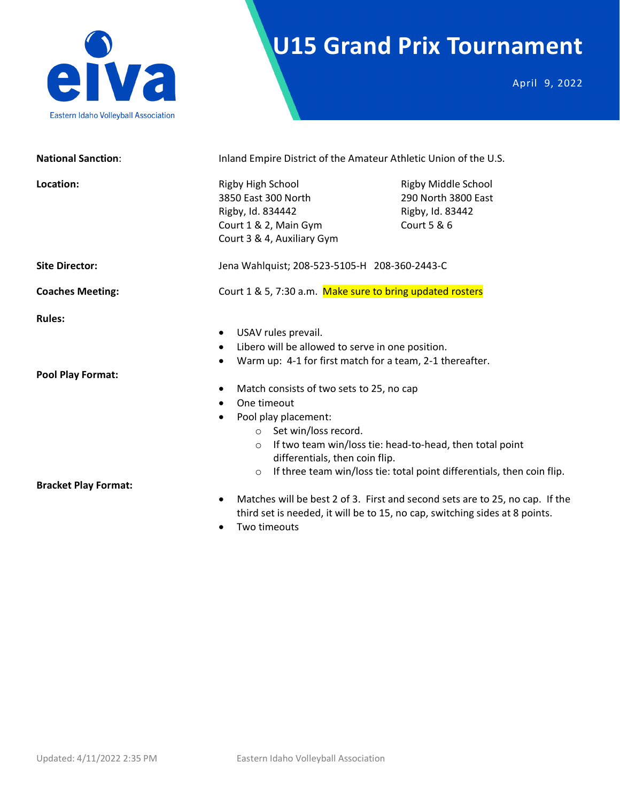

# **U15 Grand Prix Tournament**

April 9, 2022

| <b>National Sanction:</b>                 | Inland Empire District of the Amateur Athletic Union of the U.S.                                                                                                                                                                                                                                                                                                                                                              |                                                                                      |
|-------------------------------------------|-------------------------------------------------------------------------------------------------------------------------------------------------------------------------------------------------------------------------------------------------------------------------------------------------------------------------------------------------------------------------------------------------------------------------------|--------------------------------------------------------------------------------------|
| Location:                                 | Rigby High School<br>3850 East 300 North<br>Rigby, Id. 834442<br>Court 1 & 2, Main Gym<br>Court 3 & 4, Auxiliary Gym                                                                                                                                                                                                                                                                                                          | <b>Rigby Middle School</b><br>290 North 3800 East<br>Rigby, Id. 83442<br>Court 5 & 6 |
| <b>Site Director:</b>                     | Jena Wahlquist; 208-523-5105-H 208-360-2443-C                                                                                                                                                                                                                                                                                                                                                                                 |                                                                                      |
| <b>Coaches Meeting:</b>                   | Court 1 & 5, 7:30 a.m. Make sure to bring updated rosters                                                                                                                                                                                                                                                                                                                                                                     |                                                                                      |
| <b>Rules:</b><br><b>Pool Play Format:</b> | USAV rules prevail.<br>٠<br>Libero will be allowed to serve in one position.<br>$\bullet$<br>Warm up: 4-1 for first match for a team, 2-1 thereafter.<br>Match consists of two sets to 25, no cap<br>$\bullet$<br>One timeout<br>$\bullet$<br>Pool play placement:<br>$\bullet$<br>o Set win/loss record.<br>If two team win/loss tie: head-to-head, then total point<br>$\circ$<br>differentials, then coin flip.<br>$\circ$ | If three team win/loss tie: total point differentials, then coin flip.               |
| <b>Bracket Play Format:</b>               | $\bullet$<br>third set is needed, it will be to 15, no cap, switching sides at 8 points.<br>Two timeouts                                                                                                                                                                                                                                                                                                                      | Matches will be best 2 of 3. First and second sets are to 25, no cap. If the         |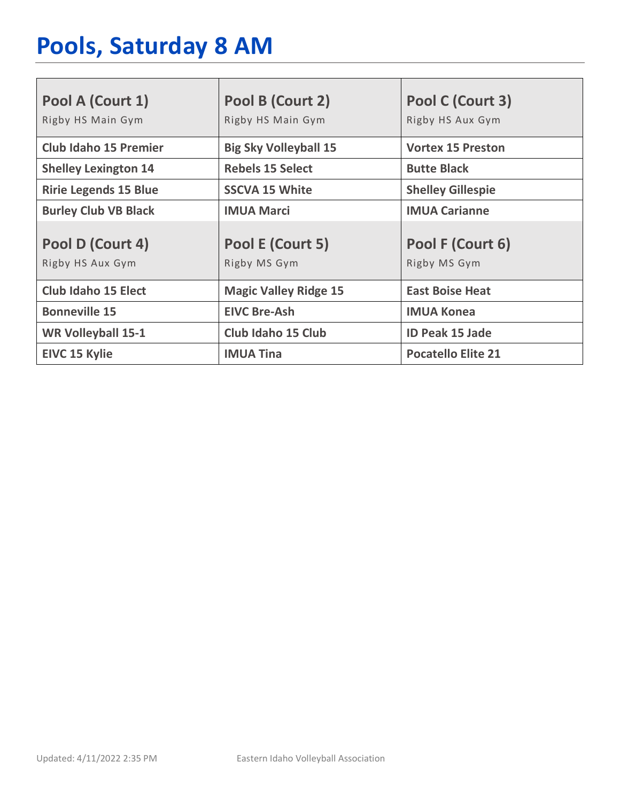# **Pools, Saturday 8 AM**

| Pool A (Court 1)                     | Pool B (Court 2)                 | Pool C (Court 3)                 |
|--------------------------------------|----------------------------------|----------------------------------|
| Rigby HS Main Gym                    | Rigby HS Main Gym                | Rigby HS Aux Gym                 |
| <b>Club Idaho 15 Premier</b>         | <b>Big Sky Volleyball 15</b>     | <b>Vortex 15 Preston</b>         |
| <b>Shelley Lexington 14</b>          | <b>Rebels 15 Select</b>          | <b>Butte Black</b>               |
| <b>Ririe Legends 15 Blue</b>         | <b>SSCVA 15 White</b>            | <b>Shelley Gillespie</b>         |
| <b>Burley Club VB Black</b>          | <b>IMUA Marci</b>                | <b>IMUA Carianne</b>             |
| Pool D (Court 4)<br>Rigby HS Aux Gym | Pool E (Court 5)<br>Rigby MS Gym | Pool F (Court 6)<br>Rigby MS Gym |
|                                      |                                  |                                  |
| <b>Club Idaho 15 Elect</b>           | <b>Magic Valley Ridge 15</b>     | <b>East Boise Heat</b>           |
| <b>Bonneville 15</b>                 | <b>EIVC Bre-Ash</b>              | <b>IMUA Konea</b>                |
| <b>WR Volleyball 15-1</b>            | Club Idaho 15 Club               | <b>ID Peak 15 Jade</b>           |
| <b>EIVC 15 Kylie</b>                 | <b>IMUA Tina</b>                 | <b>Pocatello Elite 21</b>        |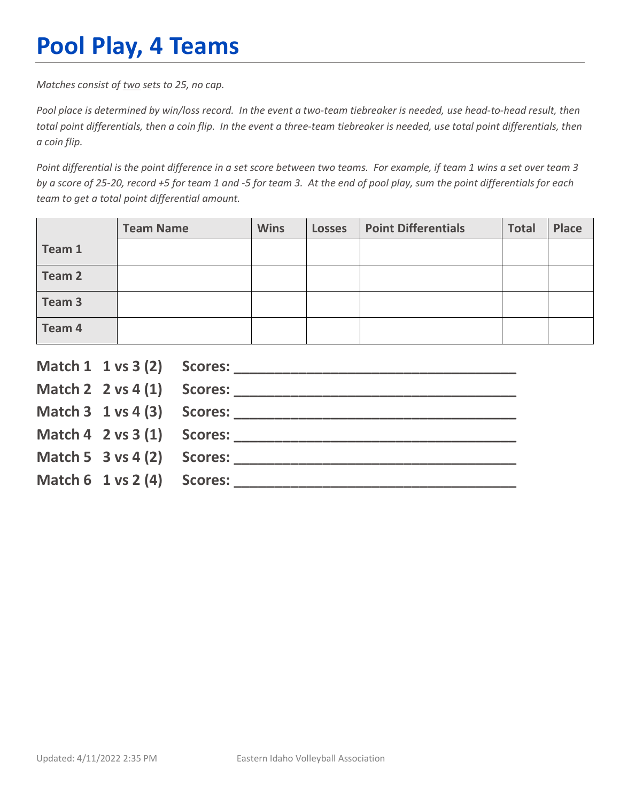## **Pool Play, 4 Teams**

*Matches consist of two sets to 25, no cap.*

*Pool place is determined by win/loss record. In the event a two-team tiebreaker is needed, use head-to-head result, then total point differentials, then a coin flip. In the event a three-team tiebreaker is needed, use total point differentials, then a coin flip.*

*Point differential is the point difference in a set score between two teams. For example, if team 1 wins a set over team 3 by a score of 25-20, record +5 for team 1 and -5 for team 3. At the end of pool play, sum the point differentials for each team to get a total point differential amount.* 

|        | <b>Team Name</b> | <b>Wins</b> | <b>Losses</b> | <b>Point Differentials</b> | <b>Total</b> | Place |
|--------|------------------|-------------|---------------|----------------------------|--------------|-------|
| Team 1 |                  |             |               |                            |              |       |
| Team 2 |                  |             |               |                            |              |       |
| Team 3 |                  |             |               |                            |              |       |
| Team 4 |                  |             |               |                            |              |       |

|                                        | Match $2 \times 4(1)$ Scores:              |
|----------------------------------------|--------------------------------------------|
|                                        |                                            |
|                                        | Match $4 \quad 2 \text{ vs } 3(1)$ Scores: |
| Match 5 $3$ vs 4 (2) Scores:           |                                            |
| Match $6 \t1 \text{ vs } 2(4)$ Scores: |                                            |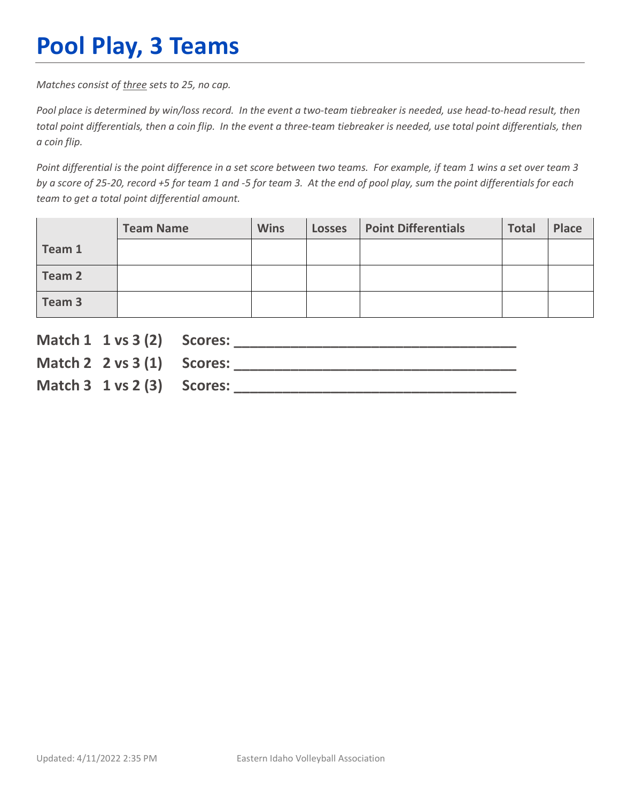## **Pool Play, 3 Teams**

*Matches consist of three sets to 25, no cap.*

*Pool place is determined by win/loss record. In the event a two-team tiebreaker is needed, use head-to-head result, then total point differentials, then a coin flip. In the event a three-team tiebreaker is needed, use total point differentials, then a coin flip.*

*Point differential is the point difference in a set score between two teams. For example, if team 1 wins a set over team 3 by a score of 25-20, record +5 for team 1 and -5 for team 3. At the end of pool play, sum the point differentials for each team to get a total point differential amount.* 

|        | <b>Team Name</b> | <b>Wins</b> | <b>Losses</b> | <b>Point Differentials</b> | <b>Total</b> | Place |
|--------|------------------|-------------|---------------|----------------------------|--------------|-------|
| Team 1 |                  |             |               |                            |              |       |
| Team 2 |                  |             |               |                            |              |       |
| Team 3 |                  |             |               |                            |              |       |

| Match 1 1 vs 3 (2) Scores:               |                               |
|------------------------------------------|-------------------------------|
|                                          | Match $2 \times 3(1)$ Scores: |
| Match $3 \t1 \text{ vs } 2 \t3)$ Scores: |                               |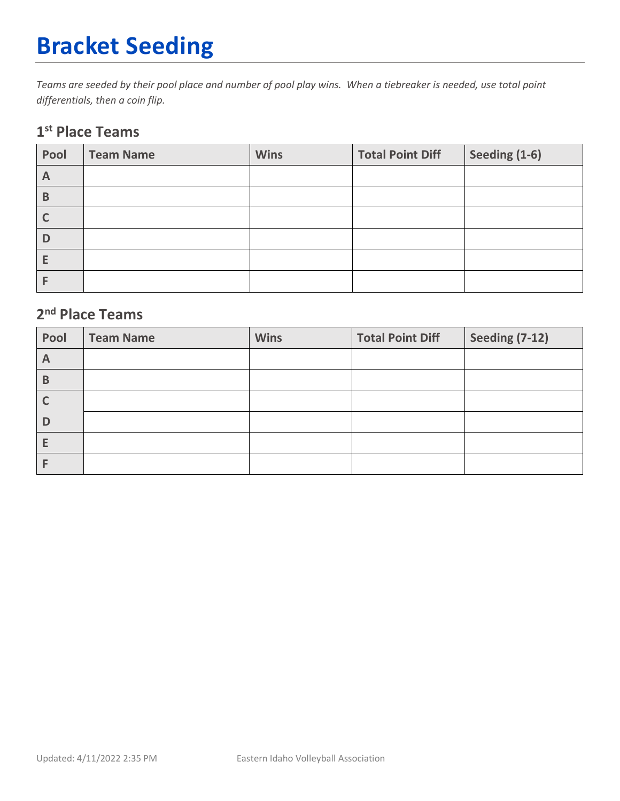# **Bracket Seeding**

*Teams are seeded by their pool place and number of pool play wins. When a tiebreaker is needed, use total point differentials, then a coin flip.*

### **1st Place Teams**

| Pool | <b>Team Name</b> | <b>Wins</b> | <b>Total Point Diff</b> | Seeding (1-6) |
|------|------------------|-------------|-------------------------|---------------|
| A    |                  |             |                         |               |
| B    |                  |             |                         |               |
|      |                  |             |                         |               |
| D    |                  |             |                         |               |
| Е    |                  |             |                         |               |
|      |                  |             |                         |               |

### **2nd Place Teams**

| Pool | <b>Team Name</b> | <b>Wins</b> | <b>Total Point Diff</b> | <b>Seeding (7-12)</b> |
|------|------------------|-------------|-------------------------|-----------------------|
| A    |                  |             |                         |                       |
| B    |                  |             |                         |                       |
|      |                  |             |                         |                       |
| D    |                  |             |                         |                       |
| E    |                  |             |                         |                       |
|      |                  |             |                         |                       |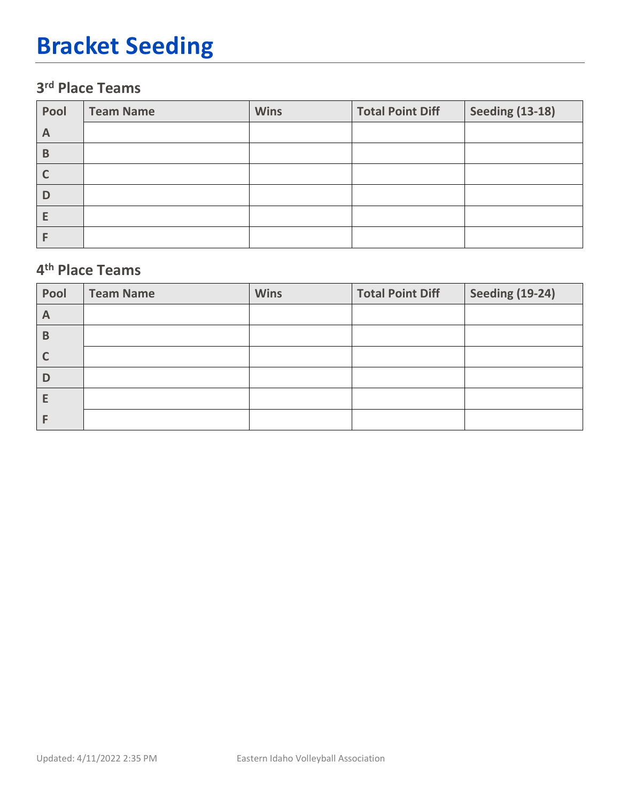## **Bracket Seeding**

## **3rd Place Teams**

| Pool | <b>Team Name</b> | <b>Wins</b> | <b>Total Point Diff</b> | <b>Seeding (13-18)</b> |
|------|------------------|-------------|-------------------------|------------------------|
| A    |                  |             |                         |                        |
| B    |                  |             |                         |                        |
|      |                  |             |                         |                        |
|      |                  |             |                         |                        |
|      |                  |             |                         |                        |
|      |                  |             |                         |                        |

### **4th Place Teams**

| Pool | <b>Team Name</b> | <b>Wins</b> | <b>Total Point Diff</b> | <b>Seeding (19-24)</b> |
|------|------------------|-------------|-------------------------|------------------------|
| A    |                  |             |                         |                        |
| B    |                  |             |                         |                        |
|      |                  |             |                         |                        |
| D    |                  |             |                         |                        |
|      |                  |             |                         |                        |
|      |                  |             |                         |                        |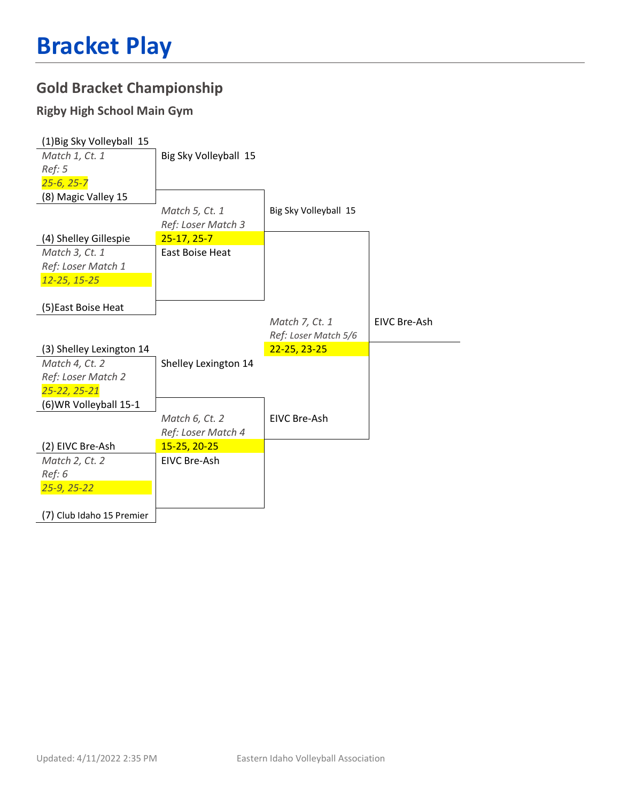### **Gold Bracket Championship**

#### **Rigby High School Main Gym**

| (1) Big Sky Volleyball 15 |                       |                       |              |
|---------------------------|-----------------------|-----------------------|--------------|
| Match 1, Ct. 1            | Big Sky Volleyball 15 |                       |              |
| Ref: 5                    |                       |                       |              |
| $25 - 6, 25 - 7$          |                       |                       |              |
| (8) Magic Valley 15       |                       |                       |              |
|                           | Match 5, Ct. 1        | Big Sky Volleyball 15 |              |
|                           | Ref: Loser Match 3    |                       |              |
| (4) Shelley Gillespie     | $25-17, 25-7$         |                       |              |
| Match 3, Ct. 1            | East Boise Heat       |                       |              |
| Ref: Loser Match 1        |                       |                       |              |
| 12-25, 15-25              |                       |                       |              |
|                           |                       |                       |              |
| (5) East Boise Heat       |                       |                       |              |
|                           |                       | Match 7, Ct. 1        | EIVC Bre-Ash |
|                           |                       | Ref: Loser Match 5/6  |              |
| (3) Shelley Lexington 14  |                       | $22 - 25, 23 - 25$    |              |
| Match 4, Ct. 2            | Shelley Lexington 14  |                       |              |
| Ref: Loser Match 2        |                       |                       |              |
| 25-22, 25-21              |                       |                       |              |
| (6) WR Volleyball 15-1    |                       |                       |              |
|                           | Match 6, Ct. 2        | <b>EIVC Bre-Ash</b>   |              |
|                           | Ref: Loser Match 4    |                       |              |
| (2) EIVC Bre-Ash          | 15-25, 20-25          |                       |              |
| Match 2, Ct. 2            | EIVC Bre-Ash          |                       |              |
| Ref: 6                    |                       |                       |              |
| $25 - 9, 25 - 22$         |                       |                       |              |
|                           |                       |                       |              |
|                           |                       |                       |              |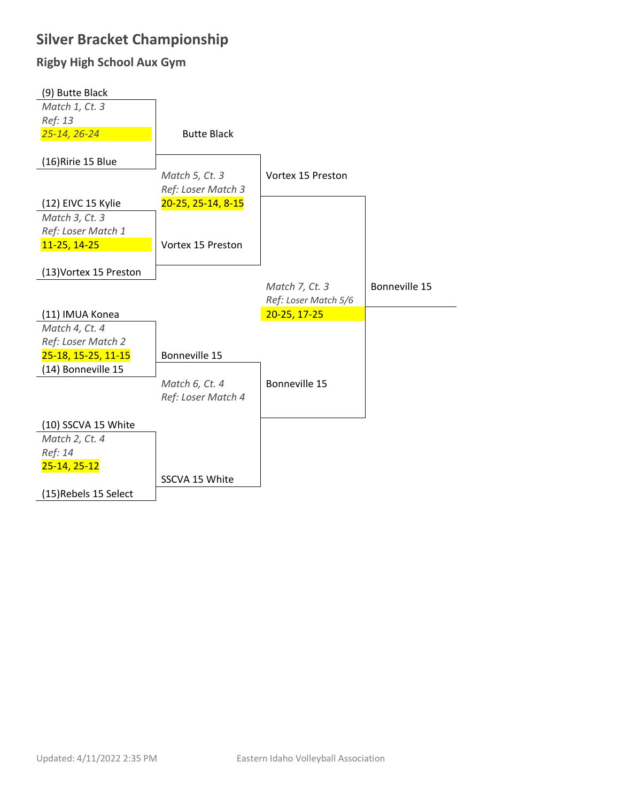### **Silver Bracket Championship**

#### **Rigby High School Aux Gym**

| (9) Butte Black        |                    |                      |               |
|------------------------|--------------------|----------------------|---------------|
| Match 1, Ct. 3         |                    |                      |               |
| Ref: 13                |                    |                      |               |
| 25-14, 26-24           | <b>Butte Black</b> |                      |               |
|                        |                    |                      |               |
| (16) Ririe 15 Blue     |                    |                      |               |
|                        | Match 5, Ct. 3     | Vortex 15 Preston    |               |
|                        | Ref: Loser Match 3 |                      |               |
| (12) EIVC 15 Kylie     | 20-25, 25-14, 8-15 |                      |               |
| Match 3, Ct. 3         |                    |                      |               |
| Ref: Loser Match 1     |                    |                      |               |
| 11-25, 14-25           | Vortex 15 Preston  |                      |               |
|                        |                    |                      |               |
| (13) Vortex 15 Preston |                    |                      |               |
|                        |                    | Match 7, Ct. 3       | Bonneville 15 |
|                        |                    |                      |               |
|                        |                    | Ref: Loser Match 5/6 |               |
| (11) IMUA Konea        |                    | 20-25, 17-25         |               |
| Match 4, Ct. 4         |                    |                      |               |
| Ref: Loser Match 2     |                    |                      |               |
| 25-18, 15-25, 11-15    | Bonneville 15      |                      |               |
| (14) Bonneville 15     |                    |                      |               |
|                        | Match 6, Ct. 4     | Bonneville 15        |               |
|                        | Ref: Loser Match 4 |                      |               |
|                        |                    |                      |               |
| (10) SSCVA 15 White    |                    |                      |               |
| Match 2, Ct. 4         |                    |                      |               |
| Ref: 14                |                    |                      |               |
| $25-14, 25-12$         |                    |                      |               |
|                        | SSCVA 15 White     |                      |               |